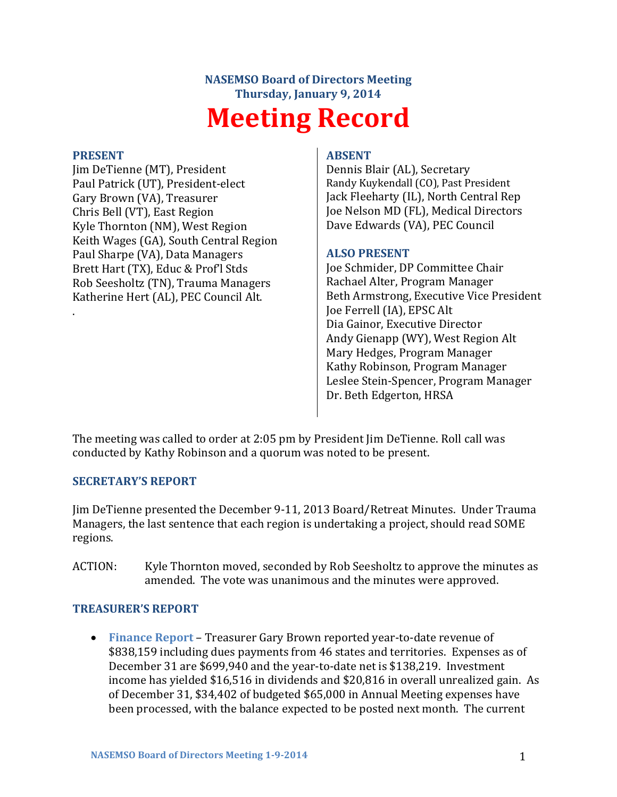# **NASEMSO Board of Directors Meeting Thursday, January 9, 2014 Meeting Record**

## **PRESENT**

.

Jim DeTienne (MT), President Paul Patrick (UT), President-elect Gary Brown (VA), Treasurer Chris Bell (VT), East Region Kyle Thornton (NM), West Region Keith Wages (GA), South Central Region Paul Sharpe (VA), Data Managers Brett Hart (TX), Educ & Prof'l Stds Rob Seesholtz (TN), Trauma Managers Katherine Hert (AL), PEC Council Alt.

## **ABSENT**

Dennis Blair (AL), Secretary Randy Kuykendall (CO), Past President Jack Fleeharty (IL), North Central Rep Joe Nelson MD (FL), Medical Directors Dave Edwards (VA), PEC Council

## **ALSO PRESENT**

Joe Schmider, DP Committee Chair Rachael Alter, Program Manager Beth Armstrong, Executive Vice President Joe Ferrell (IA), EPSC Alt Dia Gainor, Executive Director Andy Gienapp (WY), West Region Alt Mary Hedges, Program Manager Kathy Robinson, Program Manager Leslee Stein-Spencer, Program Manager Dr. Beth Edgerton, HRSA

The meeting was called to order at 2:05 pm by President Jim DeTienne. Roll call was conducted by Kathy Robinson and a quorum was noted to be present.

#### **SECRETARY'S REPORT**

Jim DeTienne presented the December 9-11, 2013 Board/Retreat Minutes. Under Trauma Managers, the last sentence that each region is undertaking a project, should read SOME regions.

ACTION: Kyle Thornton moved, seconded by Rob Seesholtz to approve the minutes as amended. The vote was unanimous and the minutes were approved.

# **TREASURER'S REPORT**

 **Finance Report** – Treasurer Gary Brown reported year-to-date revenue of \$838,159 including dues payments from 46 states and territories. Expenses as of December 31 are \$699,940 and the year-to-date net is \$138,219. Investment income has yielded \$16,516 in dividends and \$20,816 in overall unrealized gain. As of December 31, \$34,402 of budgeted \$65,000 in Annual Meeting expenses have been processed, with the balance expected to be posted next month. The current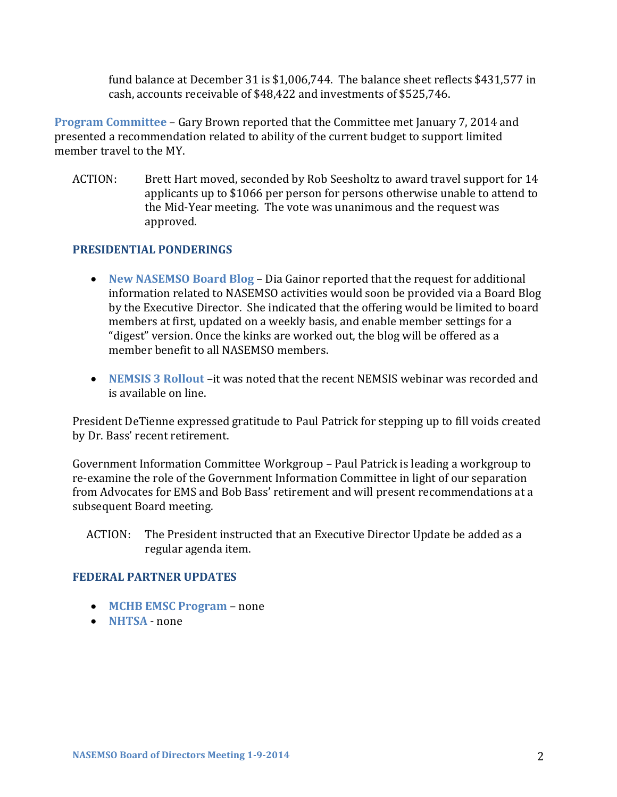fund balance at December 31 is \$1,006,744. The balance sheet reflects \$431,577 in cash, accounts receivable of \$48,422 and investments of \$525,746.

**Program Committee** – Gary Brown reported that the Committee met January 7, 2014 and presented a recommendation related to ability of the current budget to support limited member travel to the MY.

ACTION: Brett Hart moved, seconded by Rob Seesholtz to award travel support for 14 applicants up to \$1066 per person for persons otherwise unable to attend to the Mid-Year meeting. The vote was unanimous and the request was approved.

# **PRESIDENTIAL PONDERINGS**

- **New NASEMSO Board Blog** Dia Gainor reported that the request for additional information related to NASEMSO activities would soon be provided via a Board Blog by the Executive Director. She indicated that the offering would be limited to board members at first, updated on a weekly basis, and enable member settings for a "digest" version. Once the kinks are worked out, the blog will be offered as a member benefit to all NASEMSO members.
- **NEMSIS 3 Rollout** –it was noted that the recent NEMSIS webinar was recorded and is available on line.

President DeTienne expressed gratitude to Paul Patrick for stepping up to fill voids created by Dr. Bass' recent retirement.

Government Information Committee Workgroup – Paul Patrick is leading a workgroup to re-examine the role of the Government Information Committee in light of our separation from Advocates for EMS and Bob Bass' retirement and will present recommendations at a subsequent Board meeting.

ACTION: The President instructed that an Executive Director Update be added as a regular agenda item.

#### **FEDERAL PARTNER UPDATES**

- **MCHB EMSC Program** none
- **NHTSA** none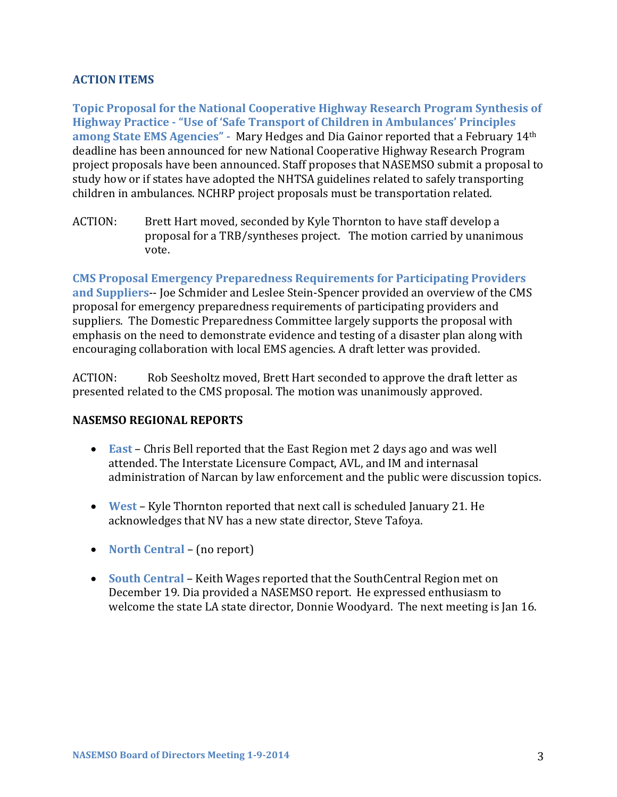# **ACTION ITEMS**

**Topic Proposal for the National Cooperative Highway Research Program Synthesis of Highway Practice - "Use of 'Safe Transport of Children in Ambulances' Principles among State EMS Agencies" -** Mary Hedges and Dia Gainor reported that a February 14th deadline has been announced for new National Cooperative Highway Research Program project proposals have been announced. Staff proposes that NASEMSO submit a proposal to study how or if states have adopted the NHTSA guidelines related to safely transporting children in ambulances. NCHRP project proposals must be transportation related.

ACTION: Brett Hart moved, seconded by Kyle Thornton to have staff develop a proposal for a TRB/syntheses project. The motion carried by unanimous vote.

**CMS Proposal Emergency Preparedness Requirements for Participating Providers and Suppliers**-- Joe Schmider and Leslee Stein-Spencer provided an overview of the CMS proposal for emergency preparedness requirements of participating providers and suppliers. The Domestic Preparedness Committee largely supports the proposal with emphasis on the need to demonstrate evidence and testing of a disaster plan along with encouraging collaboration with local EMS agencies. A draft letter was provided.

ACTION: Rob Seesholtz moved, Brett Hart seconded to approve the draft letter as presented related to the CMS proposal. The motion was unanimously approved.

# **NASEMSO REGIONAL REPORTS**

- **East** Chris Bell reported that the East Region met 2 days ago and was well attended. The Interstate Licensure Compact, AVL, and IM and internasal administration of Narcan by law enforcement and the public were discussion topics.
- **West** Kyle Thornton reported that next call is scheduled January 21. He acknowledges that NV has a new state director, Steve Tafoya.
- **North Central** (no report)
- **South Central** Keith Wages reported that the SouthCentral Region met on December 19. Dia provided a NASEMSO report. He expressed enthusiasm to welcome the state LA state director, Donnie Woodyard. The next meeting is Jan 16.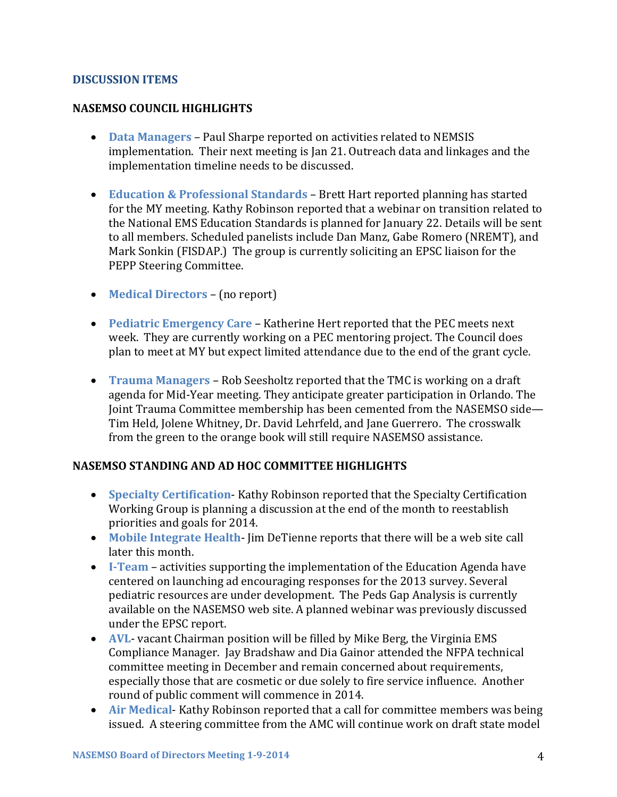## **DISCUSSION ITEMS**

## **NASEMSO COUNCIL HIGHLIGHTS**

- **Data Managers** Paul Sharpe reported on activities related to NEMSIS implementation. Their next meeting is Jan 21. Outreach data and linkages and the implementation timeline needs to be discussed.
- **Education & Professional Standards** Brett Hart reported planning has started for the MY meeting. Kathy Robinson reported that a webinar on transition related to the National EMS Education Standards is planned for January 22. Details will be sent to all members. Scheduled panelists include Dan Manz, Gabe Romero (NREMT), and Mark Sonkin (FISDAP.) The group is currently soliciting an EPSC liaison for the PEPP Steering Committee.
- **Medical Directors** (no report)
- **Pediatric Emergency Care** Katherine Hert reported that the PEC meets next week. They are currently working on a PEC mentoring project. The Council does plan to meet at MY but expect limited attendance due to the end of the grant cycle.
- **Trauma Managers**  Rob Seesholtz reported that the TMC is working on a draft agenda for Mid-Year meeting. They anticipate greater participation in Orlando. The Joint Trauma Committee membership has been cemented from the NASEMSO side— Tim Held, Jolene Whitney, Dr. David Lehrfeld, and Jane Guerrero. The crosswalk from the green to the orange book will still require NASEMSO assistance.

# **NASEMSO STANDING AND AD HOC COMMITTEE HIGHLIGHTS**

- **Specialty Certification** Kathy Robinson reported that the Specialty Certification Working Group is planning a discussion at the end of the month to reestablish priorities and goals for 2014.
- **Mobile Integrate Health** Jim DeTienne reports that there will be a web site call later this month.
- **I-Team** activities supporting the implementation of the Education Agenda have centered on launching ad encouraging responses for the 2013 survey. Several pediatric resources are under development. The Peds Gap Analysis is currently available on the NASEMSO web site. A planned webinar was previously discussed under the EPSC report.
- **AVL** vacant Chairman position will be filled by Mike Berg, the Virginia EMS Compliance Manager. Jay Bradshaw and Dia Gainor attended the NFPA technical committee meeting in December and remain concerned about requirements, especially those that are cosmetic or due solely to fire service influence. Another round of public comment will commence in 2014.
- **Air Medical** Kathy Robinson reported that a call for committee members was being issued. A steering committee from the AMC will continue work on draft state model